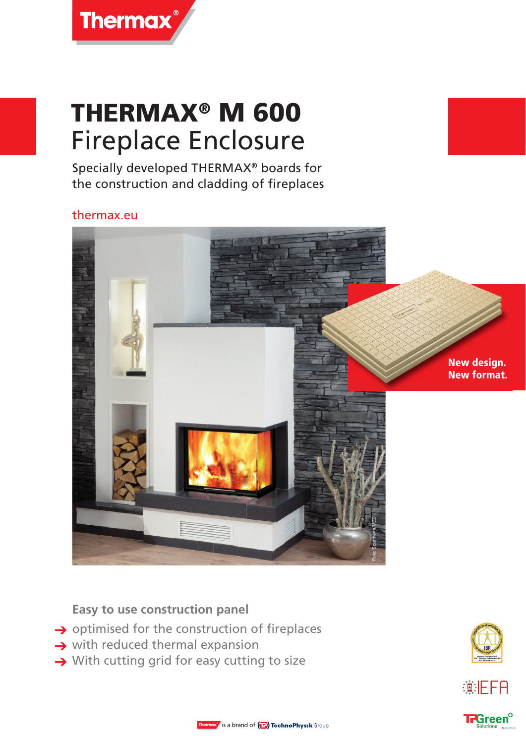# THERMAX® M 600 Fireplace Enclosure

Specially developed THERMAX® boards for the construction and cladding of fireplaces

## thermax.eu



**Easy to use construction panel** 

- $\rightarrow$  optimised for the construction of fireplaces
- $\rightarrow$  with reduced thermal expansion
- $\rightarrow$  With cutting grid for easy cutting to size







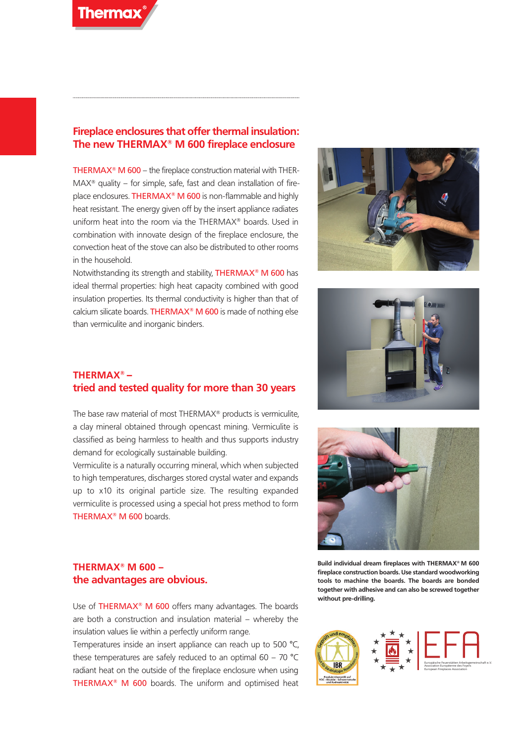

### **Fireplace enclosures that offer thermal insulation: The new THERMAX® M 600 fireplace enclosure**

THERMAX® M 600 – the fireplace construction material with THER- $MAX<sup>®</sup>$  quality – for simple, safe, fast and clean installation of fireplace enclosures. THERMAX<sup>®</sup> M 600 is non-flammable and highly heat resistant. The energy given off by the insert appliance radiates uniform heat into the room via the THERMAX® boards. Used in combination with innovate design of the fireplace enclosure, the convection heat of the stove can also be distributed to other rooms in the household.

Notwithstanding its strength and stability, THERMAX® M 600 has ideal thermal properties: high heat capacity combined with good insulation properties. Its thermal conductivity is higher than that of calcium silicate boards. THERMAX® M 600 is made of nothing else than vermiculite and inorganic binders.







The base raw material of most THERMAX® products is vermiculite, a clay mineral obtained through opencast mining. Vermiculite is classified as being harmless to health and thus supports industry demand for ecologically sustainable building.

Vermiculite is a naturally occurring mineral, which when subjected to high temperatures, discharges stored crystal water and expands up to x10 its original particle size. The resulting expanded vermiculite is processed using a special hot press method to form THERMAX® M 600 boards.

## **THERMAX® M 600 – the advantages are obvious.**

Use of THERMAX<sup>®</sup> M 600 offers many advantages. The boards are both a construction and insulation material – whereby the insulation values lie within a perfectly uniform range.

Temperatures inside an insert appliance can reach up to 500 °C, these temperatures are safely reduced to an optimal  $60 - 70$  °C radiant heat on the outside of the fireplace enclosure when using THERMAX® M 600 boards. The uniform and optimised heat

**Build individual dream fireplaces with THERMAX® M 600** 



**fireplace construction boards. Use standard woodworking tools to machine the boards. The boards are bonded together with adhesive and can also be screwed together without pre-drilling.**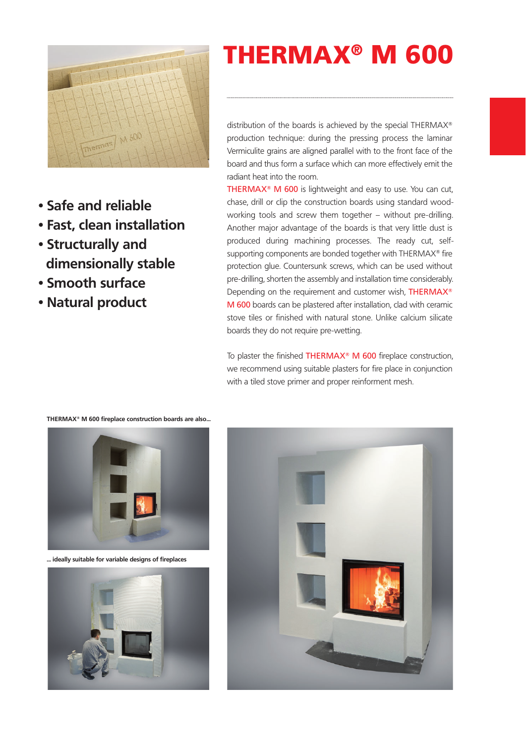

- **Safe and reliable**
- **Fast, clean installation**
- **Structurally and dimensionally stable**
- **Smooth surface**
- **Natural product**

# **THERMAX**® **M 600**

distribution of the boards is achieved by the special THERMAX® production technique: during the pressing process the laminar Vermiculite grains are aligned parallel with to the front face of the board and thus form a surface which can more effectively emit the radiant heat into the room.

THERMAX<sup>®</sup> M 600 is lightweight and easy to use. You can cut, chase, drill or clip the construction boards using standard woodworking tools and screw them together – without pre-drilling. Another major advantage of the boards is that very little dust is produced during machining processes. The ready cut, selfsupporting components are bonded together with THERMAX® fire protection glue. Countersunk screws, which can be used without pre-drilling, shorten the assembly and installation time considerably. Depending on the requirement and customer wish, THERMAX® M 600 boards can be plastered after installation, clad with ceramic stove tiles or finished with natural stone. Unlike calcium silicate boards they do not require pre-wetting.

To plaster the finished THERMAX<sup>®</sup> M 600 fireplace construction, we recommend using suitable plasters for fire place in conjunction with a tiled stove primer and proper reinforment mesh.

**... ideally suitable for variable designs of fireplaces**





#### **THERMAX® M 600 fireplace construction boards are also...**